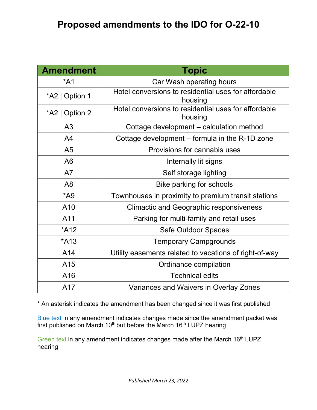# **Proposed amendments to the IDO for O-22-10**

| <b>Amendment</b>                                                 | <b>Topic</b>                                                    |  |
|------------------------------------------------------------------|-----------------------------------------------------------------|--|
| $*$ A1                                                           | Car Wash operating hours                                        |  |
| *A2   Option 1                                                   | Hotel conversions to residential uses for affordable<br>housing |  |
| *A2   Option 2                                                   | Hotel conversions to residential uses for affordable<br>housing |  |
| A <sub>3</sub>                                                   | Cottage development - calculation method                        |  |
| A <sup>4</sup><br>Cottage development – formula in the R-1D zone |                                                                 |  |
| A <sub>5</sub><br>Provisions for cannabis uses                   |                                                                 |  |
| A6                                                               | Internally lit signs                                            |  |
| A7                                                               | Self storage lighting                                           |  |
| A <sub>8</sub>                                                   | Bike parking for schools                                        |  |
| $*A9$                                                            | Townhouses in proximity to premium transit stations             |  |
| A <sub>10</sub>                                                  | <b>Climactic and Geographic responsiveness</b>                  |  |
| A11                                                              | Parking for multi-family and retail uses                        |  |
| *A12                                                             | Safe Outdoor Spaces                                             |  |
| *A13<br><b>Temporary Campgrounds</b>                             |                                                                 |  |
| A14<br>Utility easements related to vacations of right-of-way    |                                                                 |  |
| A15                                                              | Ordinance compilation                                           |  |
| A16                                                              | <b>Technical edits</b>                                          |  |
| A17                                                              | Variances and Waivers in Overlay Zones                          |  |

\* An asterisk indicates the amendment has been changed since it was first published

Blue text in any amendment indicates changes made since the amendment packet was first published on March  $10<sup>th</sup>$  but before the March  $16<sup>th</sup>$  LUPZ hearing

Green text in any amendment indicates changes made after the March 16<sup>th</sup> LUPZ hearing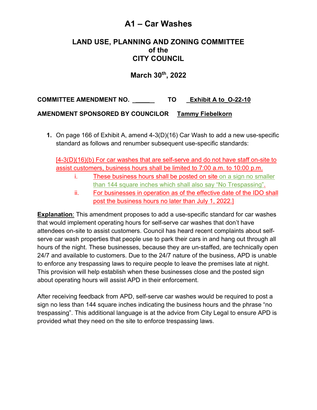## **A1 – Car Washes**

### **LAND USE, PLANNING AND ZONING COMMITTEE of the CITY COUNCIL**

**March 30th, 2022**

**COMMITTEE AMENDMENT NO. \_\_\_\_ TO \_Exhibit A to\_O-22-10**

#### **AMENDMENT SPONSORED BY COUNCILOR Tammy Fiebelkorn**

**1.** On page 166 of Exhibit A, amend 4-3(D)(16) Car Wash to add a new use-specific standard as follows and renumber subsequent use-specific standards:

[4-3(D)(16)(b) For car washes that are self-serve and do not have staff on-site to assist customers, business hours shall be limited to 7:00 a.m. to 10:00 p.m.

- i. These business hours shall be posted on site on a sign no smaller than 144 square inches which shall also say "No Trespassing".
- ii. For businesses in operation as of the effective date of the IDO shall post the business hours no later than July 1, 2022.]

**Explanation**: This amendment proposes to add a use-specific standard for car washes that would implement operating hours for self-serve car washes that don't have attendees on-site to assist customers. Council has heard recent complaints about selfserve car wash properties that people use to park their cars in and hang out through all hours of the night. These businesses, because they are un-staffed, are technically open 24/7 and available to customers. Due to the 24/7 nature of the business, APD is unable to enforce any trespassing laws to require people to leave the premises late at night. This provision will help establish when these businesses close and the posted sign about operating hours will assist APD in their enforcement.

After receiving feedback from APD, self-serve car washes would be required to post a sign no less than 144 square inches indicating the business hours and the phrase "no trespassing". This additional language is at the advice from City Legal to ensure APD is provided what they need on the site to enforce trespassing laws.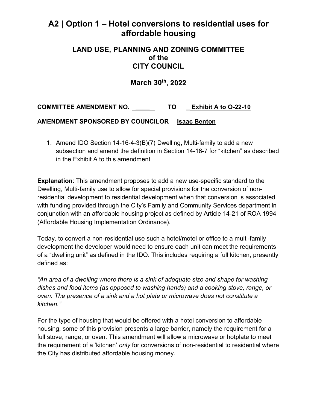## **A2 | Option 1 – Hotel conversions to residential uses for affordable housing**

#### **LAND USE, PLANNING AND ZONING COMMITTEE of the CITY COUNCIL**

### **March 30th, 2022**

**COMMITTEE AMENDMENT NO. \_\_\_\_ TO \_ Exhibit A to O-22-10**

**AMENDMENT SPONSORED BY COUNCILOR Isaac Benton**

1. Amend IDO Section 14-16-4-3(B)(7) Dwelling, Multi-family to add a new subsection and amend the definition in Section 14-16-7 for "kitchen" as described in the Exhibit A to this amendment

**Explanation**: This amendment proposes to add a new use-specific standard to the Dwelling, Multi-family use to allow for special provisions for the conversion of nonresidential development to residential development when that conversion is associated with funding provided through the City's Family and Community Services department in conjunction with an affordable housing project as defined by Article 14-21 of ROA 1994 (Affordable Housing Implementation Ordinance).

Today, to convert a non-residential use such a hotel/motel or office to a multi-family development the developer would need to ensure each unit can meet the requirements of a "dwelling unit" as defined in the IDO. This includes requiring a full kitchen, presently defined as:

*"An area of a dwelling where there is a sink of adequate size and shape for washing dishes and food items (as opposed to washing hands) and a cooking stove, range, or oven. The presence of a sink and a hot plate or microwave does not constitute a kitchen."*

For the type of housing that would be offered with a hotel conversion to affordable housing, some of this provision presents a large barrier, namely the requirement for a full stove, range, or oven. This amendment will allow a microwave or hotplate to meet the requirement of a 'kitchen' *only* for conversions of non-residential to residential where the City has distributed affordable housing money.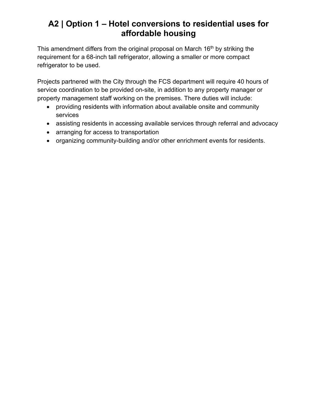# **A2 | Option 1 – Hotel conversions to residential uses for affordable housing**

This amendment differs from the original proposal on March 16<sup>th</sup> by striking the requirement for a 68-inch tall refrigerator, allowing a smaller or more compact refrigerator to be used.

Projects partnered with the City through the FCS department will require 40 hours of service coordination to be provided on-site, in addition to any property manager or property management staff working on the premises. There duties will include:

- providing residents with information about available onsite and community services
- assisting residents in accessing available services through referral and advocacy
- arranging for access to transportation
- organizing community-building and/or other enrichment events for residents.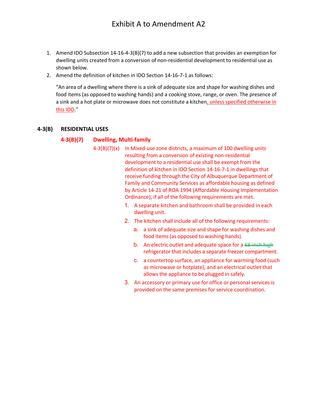- 1. Amend IDO Subsection 14-16-4-3(B)(7) to add a new subsection that provides an exemption for dwelling units created from a conversion of non-residential development to residential use as shown below.
- 2. Amend the definition of kitchen in IDO Section 14-16-7-1 as follows:

"An area of a dwelling where there is a sink of adequate size and shape for washing dishes and food items (as opposed to washing hands) and a cooking stove, range, or oven. The presence of a sink and a hot plate or microwave does not constitute a kitchen, unless specified otherwise in this IDO."

#### **4-3(B) RESIDENTIAL USES**

#### **4-3(B)(7) Dwelling, Multi-family**

- 4-3(B)(7)(x) In Mixed-use zone districts, a maximum of 100 dwelling units resulting from a conversion of existing non-residential development to a residential use shall be exempt from the definition of kitchen in IDO Section 14-16-7-1 in dwellings that receive funding through the City of Albuquerque Department of Family and Community Services as affordable housing as defined by Article 14-21 of ROA 1994 (Affordable Housing Implementation Ordinance), if all of the following requirements are met.
	- 1. A separate kitchen and bathroom shall be provided in each dwelling unit.
	- 2. The kitchen shall include all of the following requirements:
		- a. a sink of adequate size and shape for washing dishes and food items (as opposed to washing hands).
		- b. An electric outlet and adequate space for a <del>68-inch high</del> refrigerator that includes a separate freezer compartment.
		- c. a countertop surface, an appliance for warming food (such as microwave or hotplate), and an electrical outlet that allows the appliance to be plugged in safely.
	- 3. An accessory or primary use for office or personal services is provided on the same premises for service coordination.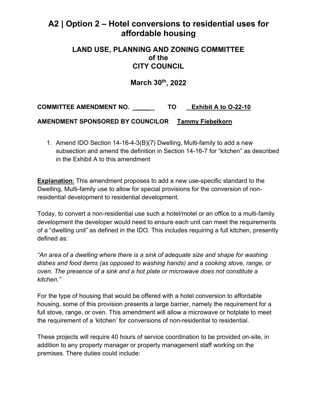## **A2 | Option 2 – Hotel conversions to residential uses for affordable housing**

#### **LAND USE, PLANNING AND ZONING COMMITTEE of the CITY COUNCIL**

### **March 30th, 2022**

**COMMITTEE AMENDMENT NO. \_\_\_\_ TO \_ Exhibit A to O-22-10**

**AMENDMENT SPONSORED BY COUNCILOR Tammy Fiebelkorn**

1. Amend IDO Section 14-16-4-3(B)(7) Dwelling, Multi-family to add a new subsection and amend the definition in Section 14-16-7 for "kitchen" as described in the Exhibit A to this amendment

**Explanation**: This amendment proposes to add a new use-specific standard to the Dwelling, Multi-family use to allow for special provisions for the conversion of nonresidential development to residential development.

Today, to convert a non-residential use such a hotel/motel or an office to a multi-family development the developer would need to ensure each unit can meet the requirements of a "dwelling unit" as defined in the IDO. This includes requiring a full kitchen, presently defined as:

*"An area of a dwelling where there is a sink of adequate size and shape for washing dishes and food items (as opposed to washing hands) and a cooking stove, range, or oven. The presence of a sink and a hot plate or microwave does not constitute a kitchen."*

For the type of housing that would be offered with a hotel conversion to affordable housing, some of this provision presents a large barrier, namely the requirement for a full stove, range, or oven. This amendment will allow a microwave or hotplate to meet the requirement of a 'kitchen' for conversions of non-residential to residential.

These projects will require 40 hours of service coordination to be provided on-site, in addition to any property manager or property management staff working on the premises. There duties could include: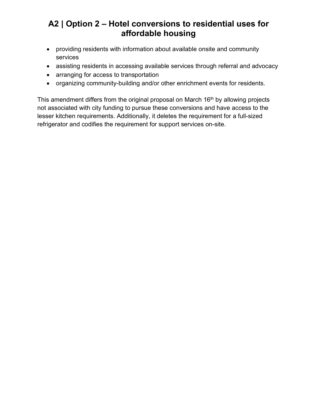# **A2 | Option 2 – Hotel conversions to residential uses for affordable housing**

- providing residents with information about available onsite and community services
- assisting residents in accessing available services through referral and advocacy
- arranging for access to transportation
- organizing community-building and/or other enrichment events for residents.

This amendment differs from the original proposal on March  $16<sup>th</sup>$  by allowing projects not associated with city funding to pursue these conversions and have access to the lesser kitchen requirements. Additionally, it deletes the requirement for a full-sized refrigerator and codifies the requirement for support services on-site.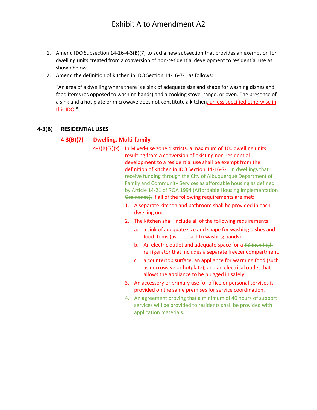- 1. Amend IDO Subsection 14-16-4-3(B)(7) to add a new subsection that provides an exemption for dwelling units created from a conversion of non-residential development to residential use as shown below.
- 2. Amend the definition of kitchen in IDO Section 14-16-7-1 as follows:

"An area of a dwelling where there is a sink of adequate size and shape for washing dishes and food items (as opposed to washing hands) and a cooking stove, range, or oven. The presence of a sink and a hot plate or microwave does not constitute a kitchen, unless specified otherwise in this IDO."

#### **4-3(B) RESIDENTIAL USES**

#### **4-3(B)(7) Dwelling, Multi-family**

- 4-3(B)(7)(x) In Mixed-use zone districts, a maximum of 100 dwelling units resulting from a conversion of existing non-residential development to a residential use shall be exempt from the definition of kitchen in IDO Section 14-16-7-1 in dwellings that receive funding through the City of Albuquerque Department of Family and Community Services as affordable housing as defined by Article 14-21 of ROA 1994 (Affordable Housing Implementation Ordinance), if all of the following requirements are met:
	- 1. A separate kitchen and bathroom shall be provided in each dwelling unit.
	- 2. The kitchen shall include all of the following requirements:
		- a. a sink of adequate size and shape for washing dishes and food items (as opposed to washing hands).
		- b. An electric outlet and adequate space for a 68-inch high refrigerator that includes a separate freezer compartment.
		- c. a countertop surface, an appliance for warming food (such as microwave or hotplate), and an electrical outlet that allows the appliance to be plugged in safely.
	- 3. An accessory or primary use for office or personal services is provided on the same premises for service coordination.
	- 4. An agreement proving that a minimum of 40 hours of support services will be provided to residents shall be provided with application materials.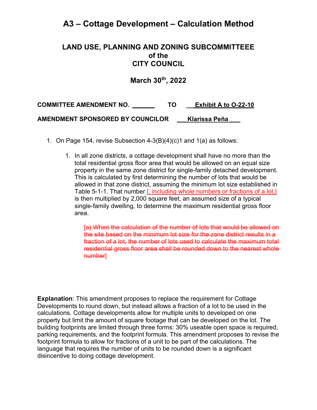## **A3 – Cottage Development – Calculation Method**

#### **LAND USE, PLANNING AND ZONING SUBCOMMITTEEE of the CITY COUNCIL**

**March 30th , 2022** 

**COMMITTEE AMENDMENT NO. \_\_\_\_ TO \_\_ Exhibit A to O-22-10 AMENDMENT SPONSORED BY COUNCILOR \_\_\_Klarissa Peña \_\_\_**

- 1. On Page 154, revise Subsection 4-3(B)(4)(c)1 and 1(a) as follows:
	- 1. In all zone districts, a cottage development shall have no more than the total residential gross floor area that would be allowed on an equal size property in the same zone district for single-family detached development. This is calculated by first determining the number of lots that would be allowed in that zone district, assuming the minimum lot size established in Table 5-1-1. That number [, including whole numbers or fractions of a lot,] is then multiplied by 2,000 square feet, an assumed size of a typical single-family dwelling, to determine the maximum residential gross floor area.

[a) When the calculation of the number of lots that would be allowed on the site based on the minimum lot size for the zone district results in a fraction of a lot, the number of lots used to calculate the maximum total residential gross floor area shall be rounded down to the nearest whole number]

**Explanation:** This amendment proposes to replace the requirement for Cottage Developments to round down, but instead allows a fraction of a lot to be used in the calculations. Cottage developments allow for multiple units to developed on one property but limit the amount of square footage that can be developed on the lot. The building footprints are limited through three forms: 30% useable open space is required, parking requirements, and the footprint formula. This amendment proposes to revise the footprint formula to allow for fractions of a unit to be part of the calculations. The language that requires the number of units to be rounded down is a significant disincentive to doing cottage development.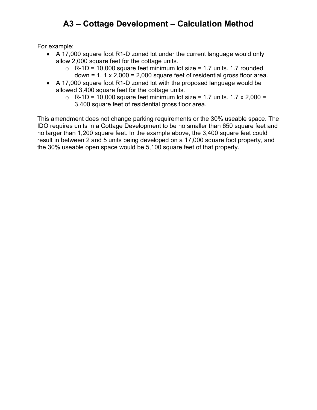# **A3 – Cottage Development – Calculation Method**

For example:

- A 17,000 square foot R1-D zoned lot under the current language would only allow 2,000 square feet for the cottage units.
	- $\circ$  R-1D = 10,000 square feet minimum lot size = 1.7 units. 1.7 rounded down =  $1.1 \times 2,000 = 2,000$  square feet of residential gross floor area.
- A 17,000 square foot R1-D zoned lot with the proposed language would be allowed 3,400 square feet for the cottage units.
	- $\circ$  R-1D = 10,000 square feet minimum lot size = 1.7 units. 1.7 x 2,000 = 3,400 square feet of residential gross floor area.

This amendment does not change parking requirements or the 30% useable space. The IDO requires units in a Cottage Development to be no smaller than 650 square feet and no larger than 1,200 square feet. In the example above, the 3,400 square feet could result in between 2 and 5 units being developed on a 17,000 square foot property, and the 30% useable open space would be 5,100 square feet of that property.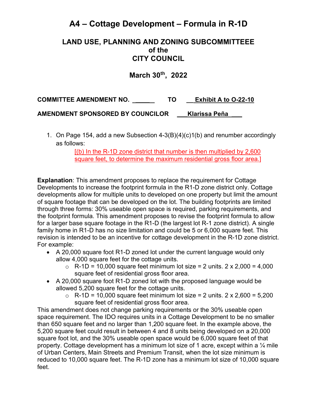# **A4 – Cottage Development – Formula in R-1D**

#### **LAND USE, PLANNING AND ZONING SUBCOMMITTEEE of the CITY COUNCIL**

**March 30th , 2022** 

**COMMITTEE AMENDMENT NO. \_\_\_\_ TO \_\_ Exhibit A to O-22-10** 

**AMENDMENT SPONSORED BY COUNCILOR \_\_\_Klarissa Peña \_\_\_**

1. On Page 154, add a new Subsection 4-3(B)(4)(c)1(b) and renumber accordingly as follows:

> [(b) In the R-1D zone district that number is then multiplied by 2,600 square feet, to determine the maximum residential gross floor area.]

**Explanation**: This amendment proposes to replace the requirement for Cottage Developments to increase the footprint formula in the R1-D zone district only. Cottage developments allow for multiple units to developed on one property but limit the amount of square footage that can be developed on the lot. The building footprints are limited through three forms: 30% useable open space is required, parking requirements, and the footprint formula. This amendment proposes to revise the footprint formula to allow for a larger base square footage in the R1-D (the largest lot R-1 zone district). A single family home in R1-D has no size limitation and could be 5 or 6,000 square feet. This revision is intended to be an incentive for cottage development in the R-1D zone district. For example:

- A 20,000 square foot R1-D zoned lot under the current language would only allow 4,000 square feet for the cottage units.
	- $\circ$  R-1D = 10,000 square feet minimum lot size = 2 units. 2 x 2,000 = 4,000 square feet of residential gross floor area.
- A 20,000 square foot R1-D zoned lot with the proposed language would be allowed 5,200 square feet for the cottage units.
	- $\circ$  R-1D = 10,000 square feet minimum lot size = 2 units. 2 x 2,600 = 5,200 square feet of residential gross floor area.

This amendment does not change parking requirements or the 30% useable open space requirement. The IDO requires units in a Cottage Development to be no smaller than 650 square feet and no larger than 1,200 square feet. In the example above, the 5,200 square feet could result in between 4 and 8 units being developed on a 20,000 square foot lot, and the 30% useable open space would be 6,000 square feet of that property. Cottage development has a minimum lot size of 1 acre, except within a  $\frac{1}{4}$  mile of Urban Centers, Main Streets and Premium Transit, when the lot size minimum is reduced to 10,000 square feet. The R-1D zone has a minimum lot size of 10,000 square feet.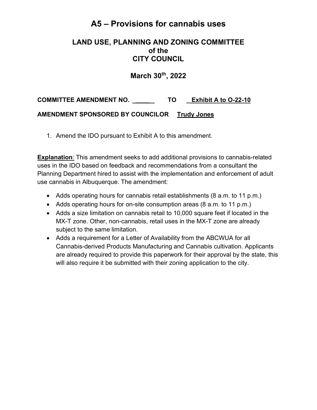## **A5 – Provisions for cannabis uses**

### **LAND USE, PLANNING AND ZONING COMMITTEE of the CITY COUNCIL**

**March 30th, 2022** 

**COMMITTEE AMENDMENT NO. \_\_\_\_ TO \_ Exhibit A to O-22-10 AMENDMENT SPONSORED BY COUNCILOR Trudy Jones**

1. Amend the IDO pursuant to Exhibit A to this amendment.

**Explanation**: This amendment seeks to add additional provisions to cannabis-related uses in the IDO based on feedback and recommendations from a consultant the Planning Department hired to assist with the implementation and enforcement of adult use cannabis in Albuquerque. The amendment:

- Adds operating hours for cannabis retail establishments (8 a.m. to 11 p.m.)
- Adds operating hours for on-site consumption areas (8 a.m. to 11 p.m.)
- Adds a size limitation on cannabis retail to 10,000 square feet if located in the MX-T zone. Other, non-cannabis, retail uses in the MX-T zone are already subject to the same limitation.
- Adds a requirement for a Letter of Availability from the ABCWUA for all Cannabis-derived Products Manufacturing and Cannabis cultivation. Applicants are already required to provide this paperwork for their approval by the state, this will also require it be submitted with their zoning application to the city.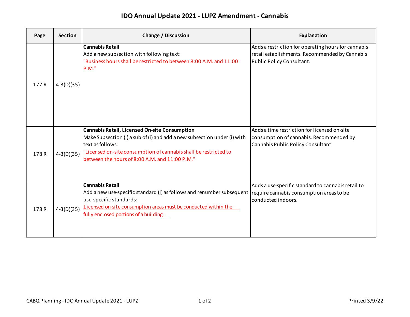### **IDO Annual Update 2021 - LUPZ Amendment - Cannabis**

| Page  | <b>Section</b> | <b>Change / Discussion</b>                                                                                                                                                                                                                                                        | Explanation                                                                                                                        |
|-------|----------------|-----------------------------------------------------------------------------------------------------------------------------------------------------------------------------------------------------------------------------------------------------------------------------------|------------------------------------------------------------------------------------------------------------------------------------|
| 177 R | $4-3(D)(35)$   | <b>Cannabis Retail</b><br>Add a new subsection with following text:<br>"Business hours shall be restricted to between 8:00 A.M. and 11:00<br>P.M."                                                                                                                                | Adds a restriction for operating hours for cannabis<br>retail establishments. Recommended by Cannabis<br>Public Policy Consultant. |
| 178R  | $4-3(D)(35)$   | <b>Cannabis Retail, Licensed On-site Consumption</b><br>Make Subsection (j) a sub of (i) and add a new subsection under (i) with<br>text as follows:<br>"Licensed on-site consumption of cannabis shall be restricted to<br>between the hours of 8:00 A.M. and 11:00 P.M."        | Adds a time restriction for licensed on-site<br>consumption of cannabis. Recommended by<br>Cannabis Public Policy Consultant.      |
| 178R  | $4-3(D)(35)$   | <b>Cannabis Retail</b><br>Add a new use-specific standard (j) as follows and renumber subsequent require cannabis consumption areas to be<br>use-specific standards:<br>Licensed on-site consumption areas must be conducted within the<br>fully enclosed portions of a building. | Adds a use-specific standard to cannabis retail to<br>conducted indoors.                                                           |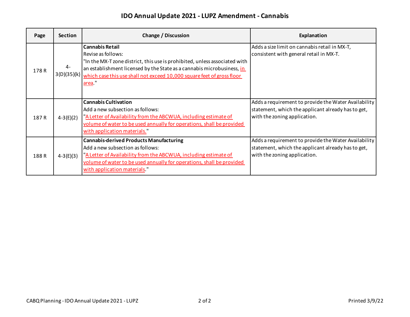### **IDO Annual Update 2021 - LUPZ Amendment - Cannabis**

| Page  | <b>Section</b> | Change / Discussion                                                                                                                                                                                                                                                                                  | Explanation                                                                                                                                |
|-------|----------------|------------------------------------------------------------------------------------------------------------------------------------------------------------------------------------------------------------------------------------------------------------------------------------------------------|--------------------------------------------------------------------------------------------------------------------------------------------|
| 178R  | 4-             | <b>Cannabis Retail</b><br>Revise as follows:<br>"In the MX-T zone district, this use is prohibited, unless associated with<br>an establishment licensed by the State as a cannabis microbusiness, in<br>3(D)(35)(k) which case this use shall not exceed 10,000 square feet of gross floor<br>area." | Adds a size limit on cannabis retail in MX-T,<br>consistent with general retail in MX-T.                                                   |
| 187 R | $4-3(E)(2)$    | <b>Cannabis Cultivation</b><br>Add a new subsection as follows:<br>"A Letter of Availability from the ABCWUA, including estimate of<br>volume of water to be used annually for operations, shall be provided<br>with application materials.                                                          | Adds a requirement to provide the Water Availability<br>statement, which the applicant already has to get,<br>with the zoning application. |
| 188R  | $4-3(E)(3)$    | <b>Cannabis-derived Products Manufacturing</b><br>Add a new subsection as follows:<br>"A Letter of Availability from the ABCWUA, including estimate of<br>volume of water to be used annually for operations, shall be provided<br>with application materials."                                      | Adds a requirement to provide the Water Availability<br>statement, which the applicant already has to get,<br>with the zoning application. |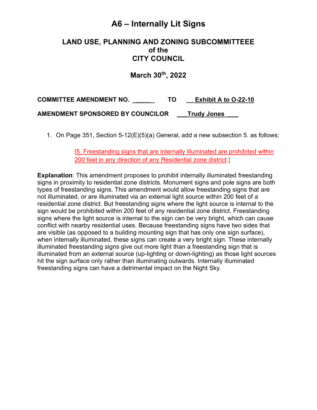# **A6 – Internally Lit Signs**

#### **LAND USE, PLANNING AND ZONING SUBCOMMITTEEE of the CITY COUNCIL**

**March 30th , 2022** 

**COMMITTEE AMENDMENT NO. \_\_\_\_ TO \_\_ Exhibit A to O-22-10 AMENDMENT SPONSORED BY COUNCILOR \_\_\_Trudy Jones \_\_\_**

1. On Page 351, Section 5-12(E)(5)(a) General, add a new subsection 5. as follows:

[5. Freestanding signs that are internally illuminated are prohibited within 200 feet in any direction of any Residential zone district.]

**Explanation**: This amendment proposes to prohibit internally illuminated freestanding signs in proximity to residential zone districts. Monument signs and pole signs are both types of freestanding signs. This amendment would allow freestanding signs that are not illuminated, or are illuminated via an external light source within 200 feet of a residential zone district. But freestanding signs where the light source is internal to the sign would be prohibited within 200 feet of any residential zone district. Freestanding signs where the light source is internal to the sign can be very bright, which can cause conflict with nearby residential uses. Because freestanding signs have two sides that are visible (as opposed to a building mounting sign that has only one sign surface), when internally illuminated, these signs can create a very bright sign. These internally illuminated freestanding signs give out more light than a freestanding sign that is illuminated from an external source (up-lighting or down-lighting) as those light sources hit the sign surface only rather than illuminating outwards. Internally illuminated freestanding signs can have a detrimental impact on the Night Sky.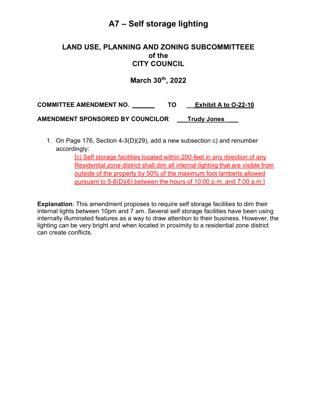# **A7 – Self storage lighting**

#### **LAND USE, PLANNING AND ZONING SUBCOMMITTEEE of the CITY COUNCIL**

### **March 30th , 2022**

**COMMITTEE AMENDMENT NO. \_\_\_\_ TO \_\_ Exhibit A to O-22-10 AMENDMENT SPONSORED BY COUNCILOR \_\_\_Trudy Jones \_\_\_**

1. On Page 176, Section 4-3(D)(29), add a new subsection c) and renumber accordingly:

> [c) Self storage facilities located within 200-feet in any direction of any Residential zone district shall dim all internal lighting that are visible from outside of the property by 50% of the maximum foot lamberts allowed pursuant to 5-8(D)(6) between the hours of 10:00 p.m. and 7:00 a.m.]

**Explanation**: This amendment proposes to require self storage facilities to dim their internal lights between 10pm and 7 am. Several self storage facilities have been using internally illuminated features as a way to draw attention to their business. However, the lighting can be very bright and when located in proximity to a residential zone district can create conflicts.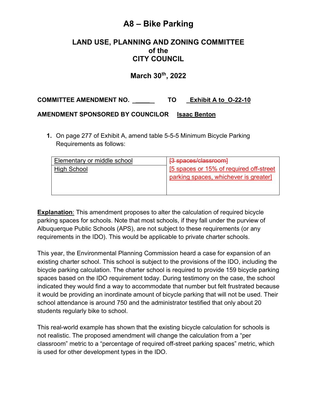## **A8 – Bike Parking**

### **LAND USE, PLANNING AND ZONING COMMITTEE of the CITY COUNCIL**

### **March 30th, 2022**

**COMMITTEE AMENDMENT NO. \_\_\_\_ TO \_Exhibit A to\_O-22-10**

#### **AMENDMENT SPONSORED BY COUNCILOR Isaac Benton**

**1.** On page 277 of Exhibit A, amend table 5-5-5 Minimum Bicycle Parking Requirements as follows:

| Elementary or middle school | [3 spaces/classroom]                     |
|-----------------------------|------------------------------------------|
| High School                 | [5 spaces or 15% of required off-street] |
|                             | parking spaces, whichever is greater]    |
|                             |                                          |
|                             |                                          |

**Explanation**: This amendment proposes to alter the calculation of required bicycle parking spaces for schools. Note that most schools, if they fall under the purview of Albuquerque Public Schools (APS), are not subject to these requirements (or any requirements in the IDO). This would be applicable to private charter schools.

This year, the Environmental Planning Commission heard a case for expansion of an existing charter school. This school is subject to the provisions of the IDO, including the bicycle parking calculation. The charter school is required to provide 159 bicycle parking spaces based on the IDO requirement today. During testimony on the case, the school indicated they would find a way to accommodate that number but felt frustrated because it would be providing an inordinate amount of bicycle parking that will not be used. Their school attendance is around 750 and the administrator testified that only about 20 students regularly bike to school.

This real-world example has shown that the existing bicycle calculation for schools is not realistic. The proposed amendment will change the calculation from a "per classroom" metric to a "percentage of required off-street parking spaces" metric, which is used for other development types in the IDO.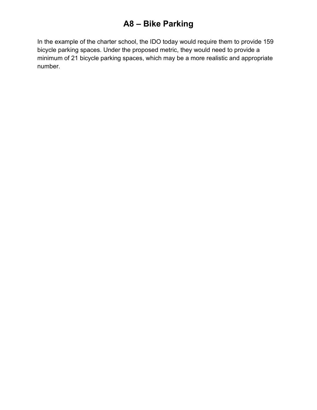# **A8 – Bike Parking**

In the example of the charter school, the IDO today would require them to provide 159 bicycle parking spaces. Under the proposed metric, they would need to provide a minimum of 21 bicycle parking spaces, which may be a more realistic and appropriate number.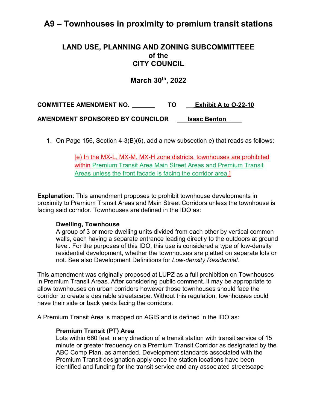## **A9 – Townhouses in proximity to premium transit stations**

#### **LAND USE, PLANNING AND ZONING SUBCOMMITTEEE of the CITY COUNCIL**

**March 30th, 2022**

**COMMITTEE AMENDMENT NO. \_\_\_\_ TO \_\_ Exhibit A to O-22-10 AMENDMENT SPONSORED BY COUNCILOR \_\_\_Isaac Benton \_\_\_**

1. On Page 156, Section 4-3(B)(6), add a new subsection e) that reads as follows:

[e) In the MX-L, MX-M, MX-H zone districts, townhouses are prohibited within Premium Transit Area Main Street Areas and Premium Transit Areas unless the front facade is facing the corridor area.]

**Explanation**: This amendment proposes to prohibit townhouse developments in proximity to Premium Transit Areas and Main Street Corridors unless the townhouse is facing said corridor. Townhouses are defined in the IDO as:

#### **Dwelling, Townhouse**

A group of 3 or more dwelling units divided from each other by vertical common walls, each having a separate entrance leading directly to the outdoors at ground level. For the purposes of this IDO, this use is considered a type of low-density residential development, whether the townhouses are platted on separate lots or not. See also Development Definitions for *Low-density Residential*.

This amendment was originally proposed at LUPZ as a full prohibition on Townhouses in Premium Transit Areas. After considering public comment, it may be appropriate to allow townhouses on urban corridors however those townhouses should face the corridor to create a desirable streetscape. Without this regulation, townhouses could have their side or back yards facing the corridors.

A Premium Transit Area is mapped on AGIS and is defined in the IDO as:

#### **Premium Transit (PT) Area**

Lots within 660 feet in any direction of a transit station with transit service of 15 minute or greater frequency on a Premium Transit Corridor as designated by the ABC Comp Plan, as amended. Development standards associated with the Premium Transit designation apply once the station locations have been identified and funding for the transit service and any associated streetscape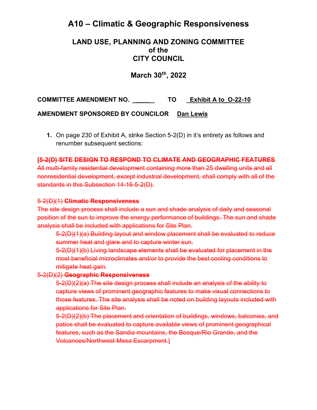## **A10 – Climatic & Geographic Responsiveness**

### **LAND USE, PLANNING AND ZONING COMMITTEE of the CITY COUNCIL**

### **March 30th, 2022**

**COMMITTEE AMENDMENT NO. \_\_\_\_ TO \_Exhibit A to\_O-22-10**

**AMENDMENT SPONSORED BY COUNCILOR Dan Lewis**

**1.** On page 230 of Exhibit A, strike Section 5-2(D) in it's entirety as follows and renumber subsequent sections:

#### **[5-2(D) SITE DESIGN TO RESPOND TO CLIMATE AND GEOGRAPHIC FEATURES**

All multi-family residential development containing more than 25 dwelling units and all nonresidential development, except industrial development, shall comply with all of the standards in this Subsection 14-16-5-2(D).

#### 5-2(D)(1) **Climatic Responsiveness**

The site design process shall include a sun and shade analysis of daily and seasonal position of the sun to improve the energy performance of buildings. The sun and shade analysis shall be included with applications for Site Plan.

5-2(D)(1)(a) Building layout and window placement shall be evaluated to reduce summer heat and glare and to capture winter sun.

5-2(D)(1)(b) Living landscape elements shall be evaluated for placement in the most beneficial microclimates and/or to provide the best cooling conditions to mitigate heat gain.

5-2(D)(2) **Geographic Responsiveness**

5-2(D)(2)(a) The site design process shall include an analysis of the ability to capture views of prominent geographic features to make visual connections to those features. The site analysis shall be noted on building layouts included with applications for Site Plan.

5-2(D)(2)(b) The placement and orientation of buildings, windows, balconies, and patios shall be evaluated to capture available views of prominent geographical features, such as the Sandia mountains, the Bosque/Rio Grande, and the Volcanoes/Northwest Mesa Escarpment.]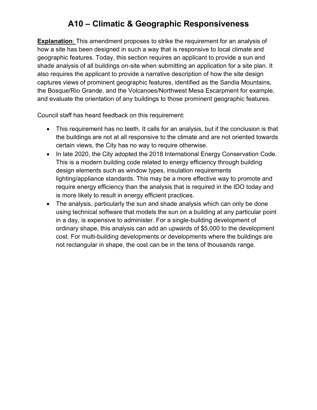# **A10 – Climatic & Geographic Responsiveness**

**Explanation**: This amendment proposes to strike the requirement for an analysis of how a site has been designed in such a way that is responsive to local climate and geographic features. Today, this section requires an applicant to provide a sun and shade analysis of all buildings on-site when submitting an application for a site plan. It also requires the applicant to provide a narrative description of how the site design captures views of prominent geographic features, identified as the Sandia Mountains, the Bosque/Rio Grande, and the Volcanoes/Northwest Mesa Escarpment for example, and evaluate the orientation of any buildings to those prominent geographic features.

Council staff has heard feedback on this requirement:

- This requirement has no teeth. It calls for an analysis, but if the conclusion is that the buildings are not at all responsive to the climate and are not oriented towards certain views, the City has no way to require otherwise.
- In late 2020, the City adopted the 2018 International Energy Conservation Code. This is a modern building code related to energy efficiency through building design elements such as window types, insulation requirements lighting/appliance standards. This may be a more effective way to promote and require energy efficiency than the analysis that is required in the IDO today and is more likely to result in energy efficient practices.
- The analysis, particularly the sun and shade analysis which can only be done using technical software that models the sun on a building at any particular point in a day, is expensive to administer. For a single-building development of ordinary shape, this analysis can add an upwards of \$5,000 to the development cost. For multi-building developments or developments where the buildings are not rectangular in shape, the cost can be in the tens of thousands range.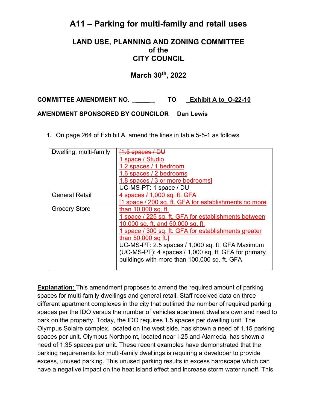## **A11 – Parking for multi-family and retail uses**

#### **LAND USE, PLANNING AND ZONING COMMITTEE of the CITY COUNCIL**

### **March 30th, 2022**

**COMMITTEE AMENDMENT NO. \_\_\_\_ TO \_Exhibit A to\_O-22-10**

#### **AMENDMENT SPONSORED BY COUNCILOR Dan Lewis**

**1.** On page 264 of Exhibit A, amend the lines in table 5-5-1 as follows

| Dwelling, multi-family | <del>[1.5 spaces / DU</del>                           |
|------------------------|-------------------------------------------------------|
|                        | space / Studio                                        |
|                        | 1.2 spaces / 1 bedroom                                |
|                        | 1.6 spaces / 2 bedrooms                               |
|                        | 1.8 spaces / 3 or more bedrooms]                      |
|                        | UC-MS-PT: 1 space / DU                                |
| <b>General Retail</b>  | 4 spaces / 1,000 sq. ft. GFA                          |
|                        | [1 space / 200 sq. ft. GFA for establishments no more |
| <b>Grocery Store</b>   | than 10,000 sq. ft.                                   |
|                        | 1 space / 225 sq. ft. GFA for establishments between  |
|                        | 10,000 sq. ft. and 50,000 sq. ft.                     |
|                        | space / 300 sq. ft. GFA for establishments greater    |
|                        | than 50,000 sq ft.]                                   |
|                        | UC-MS-PT: 2.5 spaces / 1,000 sq. ft. GFA Maximum      |
|                        | (UC-MS-PT): 4 spaces / 1,000 sq. ft. GFA for primary  |
|                        | buildings with more than 100,000 sq. ft. GFA          |
|                        |                                                       |

**Explanation**: This amendment proposes to amend the required amount of parking spaces for multi-family dwellings and general retail. Staff received data on three different apartment complexes in the city that outlined the number of required parking spaces per the IDO versus the number of vehicles apartment dwellers own and need to park on the property. Today, the IDO requires 1.5 spaces per dwelling unit. The Olympus Solaire complex, located on the west side, has shown a need of 1.15 parking spaces per unit. Olympus Northpoint, located near I-25 and Alameda, has shown a need of 1.35 spaces per unit. These recent examples have demonstrated that the parking requirements for multi-family dwellings is requiring a developer to provide excess, unused parking. This unused parking results in excess hardscape which can have a negative impact on the heat island effect and increase storm water runoff. This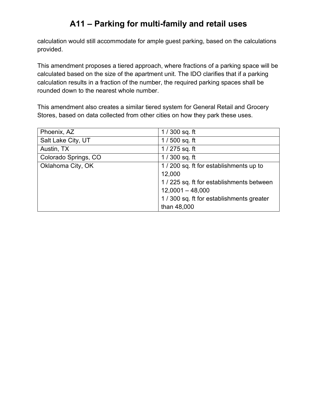# **A11 – Parking for multi-family and retail uses**

calculation would still accommodate for ample guest parking, based on the calculations provided.

This amendment proposes a tiered approach, where fractions of a parking space will be calculated based on the size of the apartment unit. The IDO clarifies that if a parking calculation results in a fraction of the number, the required parking spaces shall be rounded down to the nearest whole number.

This amendment also creates a similar tiered system for General Retail and Grocery Stores, based on data collected from other cities on how they park these uses.

| Phoenix, AZ          | $1/300$ sq. ft                          |
|----------------------|-----------------------------------------|
| Salt Lake City, UT   | $1/500$ sq. ft                          |
| Austin, TX           | $1/275$ sq. ft                          |
| Colorado Springs, CO | $1/300$ sq. ft                          |
| Oklahoma City, OK    | 1/200 sq. ft for establishments up to   |
|                      | 12,000                                  |
|                      | 1/225 sq. ft for establishments between |
|                      | $12,0001 - 48,000$                      |
|                      | 1/300 sq. ft for establishments greater |
|                      | than 48,000                             |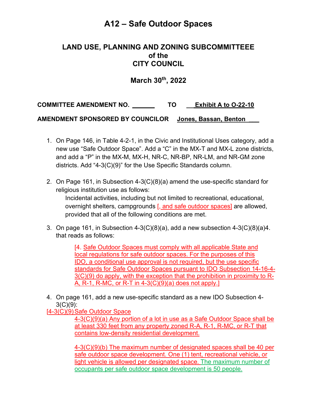#### **LAND USE, PLANNING AND ZONING SUBCOMMITTEEE of the CITY COUNCIL**

### **March 30th, 2022**

**COMMITTEE AMENDMENT NO. \_\_\_\_ TO \_\_ Exhibit A to O-22-10** 

**AMENDMENT SPONSORED BY COUNCILOR Jones, Bassan, Benton \_\_\_**

- 1. On Page 146, in Table 4-2-1, in the Civic and Institutional Uses category, add a new use "Safe Outdoor Space". Add a "C" in the MX-T and MX-L zone districts, and add a "P" in the MX-M, MX-H, NR-C, NR-BP, NR-LM, and NR-GM zone districts. Add "4-3(C)(9)" for the Use Specific Standards column.
- 2. On Page 161, in Subsection 4-3(C)(8)(a) amend the use-specific standard for religious institution use as follows:

Incidental activities, including but not limited to recreational, educational, overnight shelters, campgrounds [, and safe outdoor spaces] are allowed, provided that all of the following conditions are met.

3. On page 161, in Subsection  $4-3(C)(8)(a)$ , add a new subsection  $4-3(C)(8)(a)4$ . that reads as follows:

> [4. Safe Outdoor Spaces must comply with all applicable State and local regulations for safe outdoor spaces. For the purposes of this IDO, a conditional use approval is not required, but the use specific standards for Safe Outdoor Spaces pursuant to IDO Subsection 14-16-4- 3(C)(9) do apply, with the exception that the prohibition in proximity to R-A, R-1, R-MC, or R-T in 4-3(C)(9)(a) does not apply.]

4. On page 161, add a new use-specific standard as a new IDO Subsection 4- 3(C)(9):

[4-3(C)(9) Safe Outdoor Space

4-3(C)(9)(a) Any portion of a lot in use as a Safe Outdoor Space shall be at least 330 feet from any property zoned R-A, R-1, R-MC, or R-T that contains low-density residential development.

4-3(C)(9)(b) The maximum number of designated spaces shall be 40 per safe outdoor space development. One (1) tent, recreational vehicle, or light vehicle is allowed per designated space. The maximum number of occupants per safe outdoor space development is 50 people.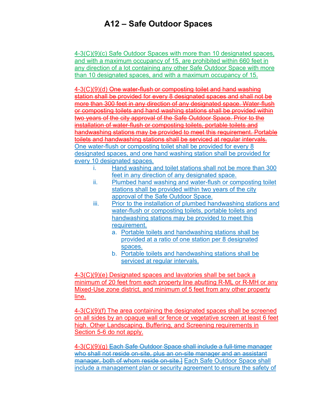4-3(C)(9)(c) Safe Outdoor Spaces with more than 10 designated spaces, and with a maximum occupancy of 15, are prohibited within 660 feet in any direction of a lot containing any other Safe Outdoor Space with more than 10 designated spaces, and with a maximum occupancy of 15.

4-3(C)(9)(d) One water-flush or composting toilet and hand washing station shall be provided for every 8 designated spaces and shall not be more than 300 feet in any direction of any designated space. Water-flush or composting toilets and hand washing stations shall be provided within two years of the city approval of the Safe Outdoor Space. Prior to the installation of water-flush or composting toilets, portable toilets and handwashing stations may be provided to meet this requirement. Portable toilets and handwashing stations shall be serviced at regular intervals. One water-flush or composting toilet shall be provided for every 8 designated spaces, and one hand washing station shall be provided for every 10 designated spaces.

- i. Hand washing and toilet stations shall not be more than 300 feet in any direction of any designated space.
- ii. Plumbed hand washing and water-flush or composting toilet stations shall be provided within two years of the city approval of the Safe Outdoor Space.
- iii. Prior to the installation of plumbed handwashing stations and water-flush or composting toilets, portable toilets and handwashing stations may be provided to meet this requirement.
	- a. Portable toilets and handwashing stations shall be provided at a ratio of one station per 8 designated spaces.
	- b. Portable toilets and handwashing stations shall be serviced at regular intervals.

4-3(C)(9)(e) Designated spaces and lavatories shall be set back a minimum of 20 feet from each property line abutting R-ML or R-MH or any Mixed-Use zone district, and minimum of 5 feet from any other property line.

4-3(C)(9)(f) The area containing the designated spaces shall be screened on all sides by an opaque wall or fence or vegetative screen at least 6 feet high. Other Landscaping, Buffering, and Screening requirements in Section 5-6 do not apply.

4-3(C)(9)(g) Each Safe Outdoor Space shall include a full-time manager who shall not reside on-site, plus an on-site manager and an assistant manager, both of whom reside on-site.] Each Safe Outdoor Space shall include a management plan or security agreement to ensure the safety of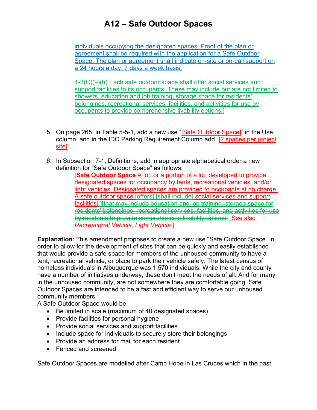individuals occupying the designated spaces. Proof of the plan or agreement shall be required with the application for a Safe Outdoor Space. The plan or agreement shall indicate on-site or on-call support on a 24 hours a day, 7 days a week basis.

4-3(C)(9)(h) Each safe outdoor space shall offer social services and support facilities to its occupants. These may include but are not limited to showers, education and job training, storage space for residents' belongings, recreational services, facilities, and activities for use by occupants to provide comprehensive livability options.]

- 5. On page 265, in Table 5-5-1, add a new use "[Safe Outdoor Space]" in the Use column, and in the IDO Parking Requirement Column add "[2 spaces per project site]".
- 6. In Subsection 7-1, Definitions, add in appropriate alphabetical order a new definition for "Safe Outdoor Space" as follows:

[**Safe Outdoor Space** A lot, or a portion of a lot, developed to provide designated spaces for occupancy by tents, recreational vehicles, and/or light vehicles. Designated spaces are provided to occupants at no charge. A safe outdoor space [offers] [shall include] social services and support facilities[.][that may include education and job training, storage space for residents' belongings, recreational services, facilities, and activities for use by residents to provide comprehensive livability options.] See also *Recreational Vehicle, Light Vehicle*.]

**Explanation**: This amendment proposes to create a new use "Safe Outdoor Space" in order to allow for the development of sites that can be quickly and easily established that would provide a safe space for members of the unhoused community to have a tent, recreational vehicle, or place to park their vehicle safely. The latest census of homeless individuals in Albuquerque was 1,570 individuals. While the city and county have a number of initiatives underway, these don't meet the needs of all. And for many in the unhoused community, are not somewhere they are comfortable going. Safe Outdoor Spaces are intended to be a fast and efficient way to serve our unhoused community members.

A Safe Outdoor Space would be:

- Be limited in scale (maximum of 40 designated spaces)
- Provide facilities for personal hygiene
- Provide social services and support facilities
- Include space for individuals to securely store their belongings
- Provide an address for mail for each resident
- Fenced and screened

Safe Outdoor Spaces are modelled after Camp Hope in Las Cruces which in the past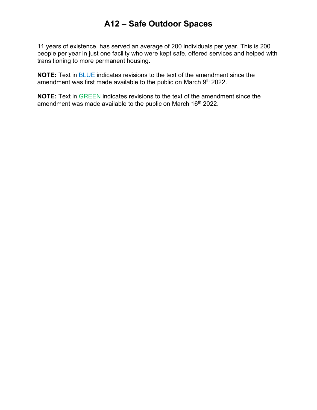11 years of existence, has served an average of 200 individuals per year. This is 200 people per year in just one facility who were kept safe, offered services and helped with transitioning to more permanent housing.

**NOTE:** Text in BLUE indicates revisions to the text of the amendment since the amendment was first made available to the public on March 9th 2022.

**NOTE:** Text in GREEN indicates revisions to the text of the amendment since the amendment was made available to the public on March 16<sup>th</sup> 2022.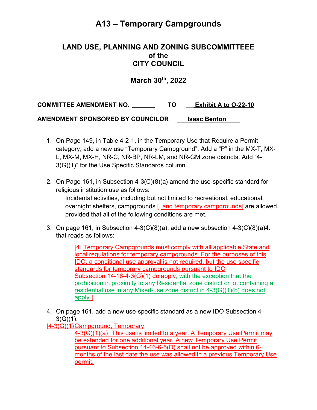# **A13 – Temporary Campgrounds**

### **LAND USE, PLANNING AND ZONING SUBCOMMITTEEE of the CITY COUNCIL**

### **March 30th, 2022**

**COMMITTEE AMENDMENT NO. \_\_\_\_ TO \_\_ Exhibit A to O-22-10** 

**AMENDMENT SPONSORED BY COUNCILOR \_\_\_Isaac Benton \_\_\_**

- 1. On Page 149, in Table 4-2-1, in the Temporary Use that Require a Permit category, add a new use "Temporary Campground". Add a "P" in the MX-T, MX-L, MX-M, MX-H, NR-C, NR-BP, NR-LM, and NR-GM zone districts. Add "4- 3(G)(1)" for the Use Specific Standards column.
- 2. On Page 161, in Subsection 4-3(C)(8)(a) amend the use-specific standard for religious institution use as follows:

Incidental activities, including but not limited to recreational, educational, overnight shelters, campgrounds [, and temporary campgrounds] are allowed, provided that all of the following conditions are met.

3. On page 161, in Subsection 4-3(C)(8)(a), add a new subsection 4-3(C)(8)(a)4. that reads as follows:

> [4. Temporary Campgrounds must comply with all applicable State and local regulations for temporary campgrounds. For the purposes of this IDO, a conditional use approval is not required, but the use specific standards for temporary campgrounds pursuant to IDO Subsection 14-16-4-3(G)(1) do apply, with the exception that the prohibition in proximity to any Residential zone district or lot containing a residential use in any Mixed-use zone district in 4-3(G)(1)(b) does not apply.]

4. On page 161, add a new use-specific standard as a new IDO Subsection 4-  $3(G)(1)$ :

[4-3(G)(1)Campground, Temporary

4-3(G)(1)(a) This use is limited to a year. A Temporary Use Permit may be extended for one additional year. A new Temporary Use Permit pursuant to Subsection 14-16-6-5(D) shall not be approved within 6 months of the last date the use was allowed in a previous Temporary Use permit.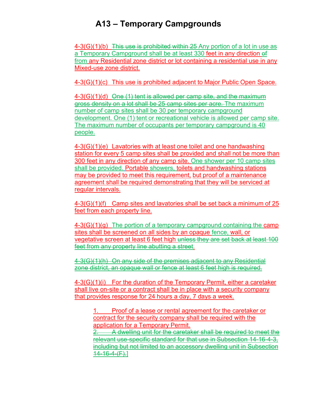# **A13 – Temporary Campgrounds**

4-3(G)(1)(b) This use is prohibited within 25 Any portion of a lot in use as a Temporary Campground shall be at least 330 feet in any direction of from any Residential zone district or lot containing a residential use in any Mixed-use zone district.

4-3(G)(1)(c) This use is prohibited adjacent to Major Public Open Space.

4-3(G)(1)(d) One (1) tent is allowed per camp site, and the maximum gross density on a lot shall be 25 camp sites per acre. The maximum number of camp sites shall be 30 per temporary campground development. One (1) tent or recreational vehicle is allowed per camp site. The maximum number of occupants per temporary campground is 40 people.

4-3(G)(1)(e) Lavatories with at least one toilet and one handwashing station for every 5 camp sites shall be provided and shall not be more than 300 feet in any direction of any camp site. One shower per 10 camp sites shall be provided. Portable showers, toilets and handwashing stations may be provided to meet this requirement, but proof of a maintenance agreement shall be required demonstrating that they will be serviced at regular intervals.

4-3(G)(1)(f) Camp sites and lavatories shall be set back a minimum of 25 feet from each property line.

4-3(G)(1)(g) The portion of a temporary campground containing the camp sites shall be screened on all sides by an opaque fence, wall, or vegetative screen at least 6 feet high unless they are set back at least 100 feet from any property line abutting a street.

4-3(G)(1)(h) On any side of the premises adjacent to any Residential zone district, an opaque wall or fence at least 6 feet high is required.

4-3(G)(1)(i) For the duration of the Temporary Permit, either a caretaker shall live on-site or a contract shall be in place with a security company that provides response for 24 hours a day, 7 days a week.

1. Proof of a lease or rental agreement for the caretaker or contract for the security company shall be required with the application for a Temporary Permit.

2. A dwelling unit for the caretaker shall be required to meet the relevant use-specific standard for that use in Subsection 14-16-4-3, including but not limited to an accessory dwelling unit in Subsection  $14 - 16 - 4 - (F)$ .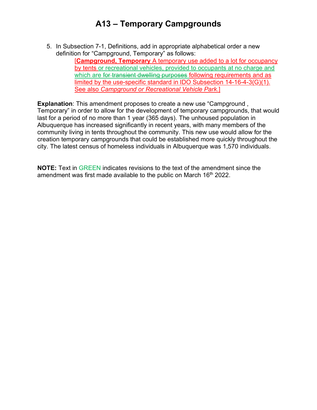# **A13 – Temporary Campgrounds**

5. In Subsection 7-1, Definitions, add in appropriate alphabetical order a new definition for "Campground, Temporary" as follows:

[**Campground, Temporary** A temporary use added to a lot for occupancy by tents or recreational vehicles, provided to occupants at no charge and which are for transient dwelling purposes following requirements and as limited by the use-specific standard in IDO Subsection 14-16-4-3(G)(1). See also *Campground or Recreational Vehicle Park*.]

**Explanation**: This amendment proposes to create a new use "Campground , Temporary" in order to allow for the development of temporary campgrounds, that would last for a period of no more than 1 year (365 days). The unhoused population in Albuquerque has increased significantly in recent years, with many members of the community living in tents throughout the community. This new use would allow for the creation temporary campgrounds that could be established more quickly throughout the city. The latest census of homeless individuals in Albuquerque was 1,570 individuals.

**NOTE:** Text in GREEN indicates revisions to the text of the amendment since the amendment was first made available to the public on March 16<sup>th</sup> 2022.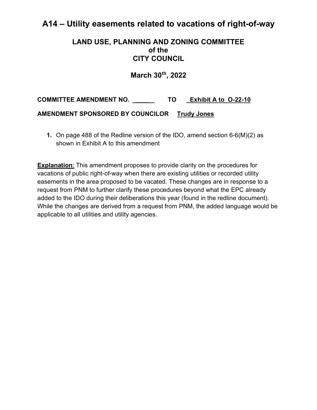## **A14 – Utility easements related to vacations of right-of-way**

### **LAND USE, PLANNING AND ZONING COMMITTEE of the CITY COUNCIL**

**March 30th, 2022** 

**COMMITTEE AMENDMENT NO. \_\_\_\_ TO \_Exhibit A to O-22-10**

**AMENDMENT SPONSORED BY COUNCILOR Trudy Jones**

**1.** On page 488 of the Redline version of the IDO, amend section 6-6(M)(2) as shown in Exhibit A to this amendment

**Explanation:** This amendment proposes to provide clarity on the procedures for vacations of public right-of-way when there are existing utilities or recorded utility easements in the area proposed to be vacated. These changes are in response to a request from PNM to further clarify these procedures beyond what the EPC already added to the IDO during their deliberations this year (found in the redline document). While the changes are derived from a request from PNM, the added language would be applicable to all utilities and utility agencies.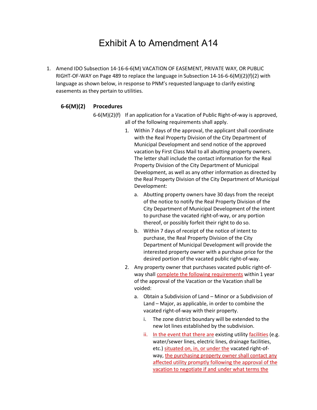# Exhibit A to Amendment A14

1. Amend IDO Subsection 14-16-6-6(M) VACATION OF EASEMENT, PRIVATE WAY, OR PUBLIC RIGHT-OF-WAY on Page 489 to replace the language in Subsection 14-16-6-6(M)(2)(f)(2) with language as shown below, in response to PNM's requested language to clarify existing easements as they pertain to utilities.

#### **6-6(M)(2) Procedures**

6-6(M)(2)(f) If an application for a Vacation of Public Right-of-way is approved, all of the following requirements shall apply.

- 1. Within 7 days of the approval, the applicant shall coordinate with the Real Property Division of the City Department of Municipal Development and send notice of the approved vacation by First Class Mail to all abutting property owners. The letter shall include the contact information for the Real Property Division of the City Department of Municipal Development, as well as any other information as directed by the Real Property Division of the City Department of Municipal Development:
	- a. Abutting property owners have 30 days from the receipt of the notice to notify the Real Property Division of the City Department of Municipal Development of the intent to purchase the vacated right-of-way, or any portion thereof, or possibly forfeit their right to do so.
	- b. Within 7 days of receipt of the notice of intent to purchase, the Real Property Division of the City Department of Municipal Development will provide the interested property owner with a purchase price for the desired portion of the vacated public right-of-way.
- 2. Any property owner that purchases vacated public right-ofway shall complete the following requirements within 1 year of the approval of the Vacation or the Vacation shall be voided:
	- a. Obtain a Subdivision of Land Minor or a Subdivision of Land – Major, as applicable, in order to combine the vacated right-of-way with their property.
		- i. The zone district boundary will be extended to the new lot lines established by the subdivision.
		- ii. In the event that there are existing utility facilities (e.g. water/sewer lines, electric lines, drainage facilities, etc.) situated on, in, or under the vacated right-ofway, the purchasing property owner shall contact any affected utility promptly following the approval of the vacation to negotiate if and under what terms the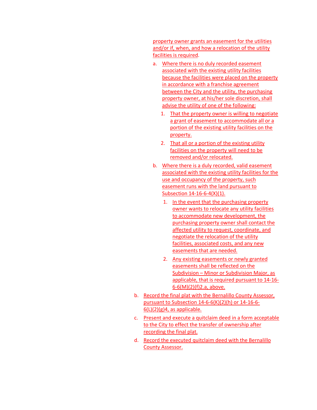property owner grants an easement for the utilities and/or if, when, and how a relocation of the utility facilities is required.

- a. Where there is no duly recorded easement associated with the existing utility facilities because the facilities were placed on the property in accordance with a franchise agreement between the City and the utility, the purchasing property owner, at his/her sole discretion, shall advise the utility of one of the following:
	- 1. That the property owner is willing to negotiate a grant of easement to accommodate all or a portion of the existing utility facilities on the property.
	- 2. That all or a portion of the existing utility facilities on the property will need to be removed and/or relocated.
- b. Where there is a duly recorded, valid easement associated with the existing utility facilities for the use and occupancy of the property, such easement runs with the land pursuant to Subsection 14-16-6-4(X)(1).
	- 1. In the event that the purchasing property owner wants to relocate any utility facilities to accommodate new development, the purchasing property owner shall contact the affected utility to request, coordinate, and negotiate the relocation of the utility facilities, associated costs, and any new easements that are needed.
	- 2. Any existing easements or newly granted easements shall be reflected on the Subdivision – Minor or Subdivision Major, as applicable, that is required pursuant to 14-16- 6-6(M)(2)(f)2.a, above.
- b. Record the final plat with the Bernalillo County Assessor, pursuant to Subsection 14-6-6(K)(2)(h) or 14-16-6-  $6(L)(2)(g)4$ , as applicable.
- c. Present and execute a quitclaim deed in a form acceptable to the City to effect the transfer of ownership after recording the final plat.
- d. Record the executed quitclaim deed with the Bernalillo County Assessor.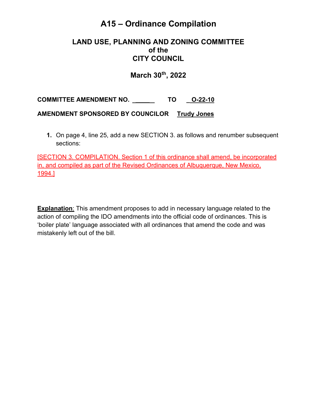# **A15 – Ordinance Compilation**

#### **LAND USE, PLANNING AND ZONING COMMITTEE of the CITY COUNCIL**

**March 30th, 2022** 

**COMMITTEE AMENDMENT NO. \_\_\_\_ TO \_ O-22-10**

**AMENDMENT SPONSORED BY COUNCILOR Trudy Jones**

**1.** On page 4, line 25, add a new SECTION 3. as follows and renumber subsequent sections:

[SECTION 3. COMPILATION. Section 1 of this ordinance shall amend, be incorporated in, and compiled as part of the Revised Ordinances of Albuquerque, New Mexico, 1994.]

**Explanation**: This amendment proposes to add in necessary language related to the action of compiling the IDO amendments into the official code of ordinances. This is 'boiler plate' language associated with all ordinances that amend the code and was mistakenly left out of the bill.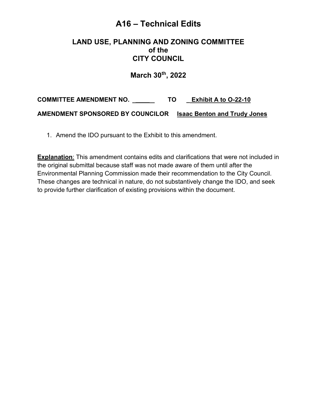## **A16 – Technical Edits**

#### **LAND USE, PLANNING AND ZONING COMMITTEE of the CITY COUNCIL**

**March 30th, 2022** 

**COMMITTEE AMENDMENT NO. \_\_\_\_ TO \_ Exhibit A to O-22-10 AMENDMENT SPONSORED BY COUNCILOR Isaac Benton and Trudy Jones**

1. Amend the IDO pursuant to the Exhibit to this amendment.

**Explanation**: This amendment contains edits and clarifications that were not included in the original submittal because staff was not made aware of them until after the Environmental Planning Commission made their recommendation to the City Council. These changes are technical in nature, do not substantively change the IDO, and seek to provide further clarification of existing provisions within the document.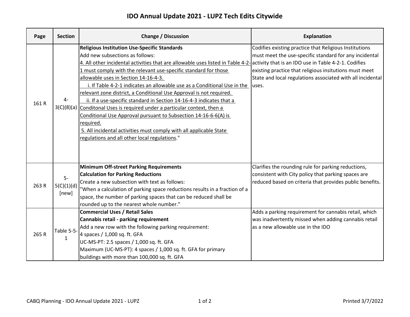### **IDO Annual Update 2021 - LUPZ Tech Edits Citywide**

| Page  | <b>Section</b>              | <b>Change / Discussion</b>                                                                                                                                                                                                                                                                                                                                                                                                                                                                                                                                                                                                                                                                                                                                                                                                                               | <b>Explanation</b>                                                                                                                                                                                                                                |
|-------|-----------------------------|----------------------------------------------------------------------------------------------------------------------------------------------------------------------------------------------------------------------------------------------------------------------------------------------------------------------------------------------------------------------------------------------------------------------------------------------------------------------------------------------------------------------------------------------------------------------------------------------------------------------------------------------------------------------------------------------------------------------------------------------------------------------------------------------------------------------------------------------------------|---------------------------------------------------------------------------------------------------------------------------------------------------------------------------------------------------------------------------------------------------|
| 161 R | $4-$                        | <b>Religious Institution Use-Specific Standards</b><br>Add new subsections as follows:<br>4. All other incidental activities that are allowable uses listed in Table 4-2- activity that is an IDO use in Table 4-2-1. Codifies<br>1 must comply with the relevant use-specific standard for those<br>allowable uses in Section 14-16-4-3.<br>i. If Table 4-2-1 indicates an allowable use as a Conditional Use in the<br>relevant zone district, a Conditional Use Approval is not required.<br>ii. If a use-specific standard in Section 14-16-4-3 indicates that a<br>3(C)(8)(a) Conditonal Uses is required under a particular context, then a<br>Conditional Use Approval pursuant to Subsection 14-16-6-6(A) is<br>required.<br>5. All incidental activities must comply with all applicable State<br>regulations and all other local regulations." | Codifies existing practice that Religious Institutions<br>must meet the use-specific standard for any incidental<br>existing practice that religious insitutions must meet<br>State and local regulations associated with all incidental<br>uses. |
| 263R  | $5-$<br>5(C)(1)(d)<br>[new] | <b>Minimum Off-street Parking Requirements</b><br><b>Calculation for Parking Reductions</b><br>Create a new subsection with text as follows:<br>"When a calculation of parking space reductions results in a fraction of a<br>space, the number of parking spaces that can be reduced shall be<br>rounded up to the nearest whole number."                                                                                                                                                                                                                                                                                                                                                                                                                                                                                                               | Clarifies the rounding rule for parking reductions,<br>consistent with City policy that parking spaces are<br>reduced based on criteria that provides public benefits.                                                                            |
| 265R  | Table 5-5-<br>$\mathbf{1}$  | <b>Commercial Uses / Retail Sales</b><br>Cannabis retail - parking requirement<br>Add a new row with the following parking requirement:<br>4 spaces / 1,000 sq. ft. GFA<br>UC-MS-PT: 2.5 spaces / 1,000 sq. ft. GFA<br>Maximum (UC-MS-PT): 4 spaces / 1,000 sq. ft. GFA for primary<br>buildings with more than 100,000 sq. ft. GFA                                                                                                                                                                                                                                                                                                                                                                                                                                                                                                                      | Adds a parking requirement for cannabis retail, which<br>was inadvertently missed when adding cannabis retail<br>as a new allowable use in the IDO                                                                                                |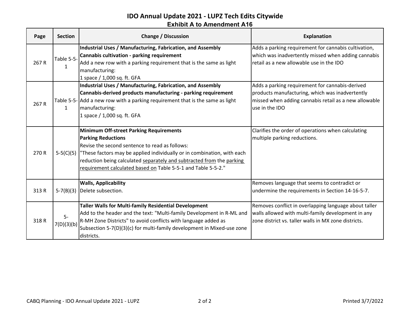#### **IDO Annual Update 2021 - LUPZ Tech Edits Citywide Exhibit A to Amendment A16**

| Page  | <b>Section</b>             | <b>Change / Discussion</b>                                                                                                                                                                                                                                                                                                                                      | <b>Explanation</b>                                                                                                                                                            |
|-------|----------------------------|-----------------------------------------------------------------------------------------------------------------------------------------------------------------------------------------------------------------------------------------------------------------------------------------------------------------------------------------------------------------|-------------------------------------------------------------------------------------------------------------------------------------------------------------------------------|
| 267 R | Table 5-5-<br>$\mathbf{1}$ | Industrial Uses / Manufacturing, Fabrication, and Assembly<br>Cannabis cultivation - parking requirement<br>Add a new row with a parking requirement that is the same as light<br>manufacturing:<br>1 space / 1,000 sq. ft. GFA                                                                                                                                 | Adds a parking requirement for cannabis cultivation,<br>which was inadvertently missed when adding cannabis<br>retail as a new allowable use in the IDO                       |
| 267 R | $\mathbf{1}$               | Industrial Uses / Manufacturing, Fabrication, and Assembly<br>Cannabis-derived products manufacturing - parking requirement<br>Table 5-5- Add a new row with a parking requirement that is the same as light<br>manufacturing:<br>1 space / 1,000 sq. ft. GFA                                                                                                   | Adds a parking requirement for cannabis-derived<br>products manufacturing, which was inadvertently<br>missed when adding cannabis retail as a new allowable<br>use in the IDO |
| 270R  |                            | <b>Minimum Off-street Parking Requirements</b><br><b>Parking Reductions</b><br>Revise the second sentence to read as follows:<br>$5-5(C)(5)$  "These factors may be applied individually or in combination, with each<br>reduction being calculated separately and subtracted from the parking<br>requirement calculated based on Table 5-5-1 and Table 5-5-2." | Clarifies the order of operations when calculating<br>multiple parking reductions.                                                                                            |
| 313 R |                            | <b>Walls, Applicability</b><br>5-7(B)(3) Delete subsection.                                                                                                                                                                                                                                                                                                     | Removes language that seems to contradict or<br>undermine the requirements in Section 14-16-5-7.                                                                              |
| 318R  | $5-$<br>7(D)(3)(b)         | <b>Taller Walls for Multi-family Residential Development</b><br>Add to the header and the text: "Multi-family Development in R-ML and<br>R-MH Zone Districts" to avoid conflicts with language added as<br>Subsection 5-7(D)(3)(c) for multi-family development in Mixed-use zone<br>districts.                                                                 | Removes conflict in overlapping language about taller<br>walls allowed with multi-family development in any<br>zone district vs. taller walls in MX zone districts.           |